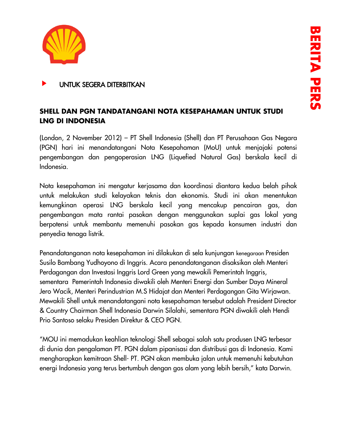

# UNTUK SEGERA DITERBITKAN

# **SHELL DAN PGN TANDATANGANI NOTA KESEPAHAMAN UNTUK STUDI LNG DI INDONESIA**

(London, 2 November 2012) – PT Shell Indonesia (Shell) dan PT Perusahaan Gas Negara (PGN) hari ini menandatangani Nota Kesepahaman (MoU) untuk menjajaki potensi pengembangan dan pengoperasian LNG (Liquefied Natural Gas) berskala kecil di Indonesia.

Nota kesepahaman ini mengatur kerjasama dan koordinasi diantara kedua belah pihak untuk melakukan studi kelayakan teknis dan ekonomis. Studi ini akan menentukan kemungkinan operasi LNG berskala kecil yang mencakup pencairan gas, dan pengembangan mata rantai pasokan dengan menggunakan suplai gas lokal yang berpotensi untuk membantu memenuhi pasokan gas kepada konsumen industri dan penyedia tenaga listrik.

Penandatanganan nota kesepahaman ini dilakukan di sela kunjungan kenegaraan Presiden Susilo Bambang Yudhoyono di Inggris. Acara penandatanganan disaksikan oleh Menteri Perdagangan dan Investasi Inggris Lord Green yang mewakili Pemerintah Inggris, sementara Pemerintah Indonesia diwakili oleh Menteri Energi dan Sumber Daya Mineral Jero Wacik, Menteri Perindustrian M.S Hidajat dan Menteri Perdagangan Gita Wirjawan. Mewakili Shell untuk menandatangani nota kesepahaman tersebut adalah President Director & Country Chairman Shell Indonesia Darwin Silalahi, sementara PGN diwakili oleh Hendi Prio Santoso selaku Presiden Direktur & CEO PGN.

"MOU ini memadukan keahlian teknologi Shell sebagai salah satu produsen LNG terbesar di dunia dan pengalaman PT. PGN dalam pipanisasi dan distribusi gas di Indonesia. Kami mengharapkan kemitraan Shell- PT. PGN akan membuka jalan untuk memenuhi kebutuhan energi Indonesia yang terus bertumbuh dengan gas alam yang lebih bersih," kata Darwin.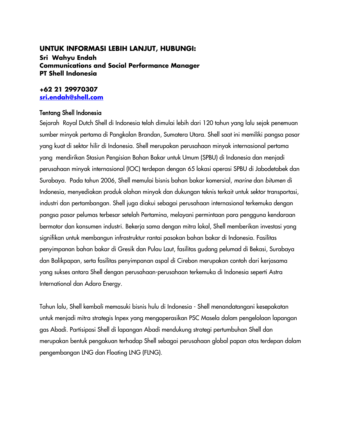### **UNTUK INFORMASI LEBIH LANJUT, HUBUNGI:**

**Sri Wahyu Endah Communications and Social Performance Manager PT Shell Indonesia**

## **+62 21 29970307 [sri.endah@shell.com](mailto:sri.endah@shell.com)**

## Tentang Shell Indonesia

Sejarah Royal Dutch Shell di Indonesia telah dimulai lebih dari 120 tahun yang lalu sejak penemuan sumber minyak pertama di Pangkalan Brandan, Sumatera Utara. Shell saat ini memiliki pangsa pasar yang kuat di sektor hilir di Indonesia. Shell merupakan perusahaan minyak internasional pertama yang mendirikan Stasiun Pengisian Bahan Bakar untuk Umum (SPBU) di Indonesia dan menjadi perusahaan minyak internasional (IOC) terdepan dengan 65 lokasi operasi SPBU di Jabodetabek dan Surabaya. Pada tahun 2006, Shell memulai bisnis bahan bakar komersial, *marine* dan *bitumen* di Indonesia, menyediakan produk olahan minyak dan dukungan teknis terkait untuk sektor transportasi, industri dan pertambangan. Shell juga diakui sebagai perusahaan internasional terkemuka dengan pangsa pasar pelumas terbesar setelah Pertamina, melayani permintaan para pengguna kendaraan bermotor dan konsumen industri. Bekerja sama dengan mitra lokal, Shell memberikan investasi yang signifikan untuk membangun infrastruktur rantai pasokan bahan bakar di Indonesia. Fasilitas penyimpanan bahan bakar di Gresik dan Pulau Laut, fasilitas gudang pelumad di Bekasi, Surabaya dan Balikpapan, serta fasilitas penyimpanan aspal di Cirebon merupakan contoh dari kerjasama yang sukses antara Shell dengan perusahaan-perusahaan terkemuka di Indonesia seperti Astra International dan Adaro Energy.

Tahun lalu, Shell kembali memasuki bisnis hulu di Indonesia - Shell menandatangani kesepakatan untuk menjadi mitra strategis Inpex yang mengoperasikan PSC Masela dalam pengelolaan lapangan gas Abadi. Partisipasi Shell di lapangan Abadi mendukung strategi pertumbuhan Shell dan merupakan bentuk pengakuan terhadap Shell sebagai perusahaan global papan atas terdepan dalam pengembangan LNG dan Floating LNG (FLNG).